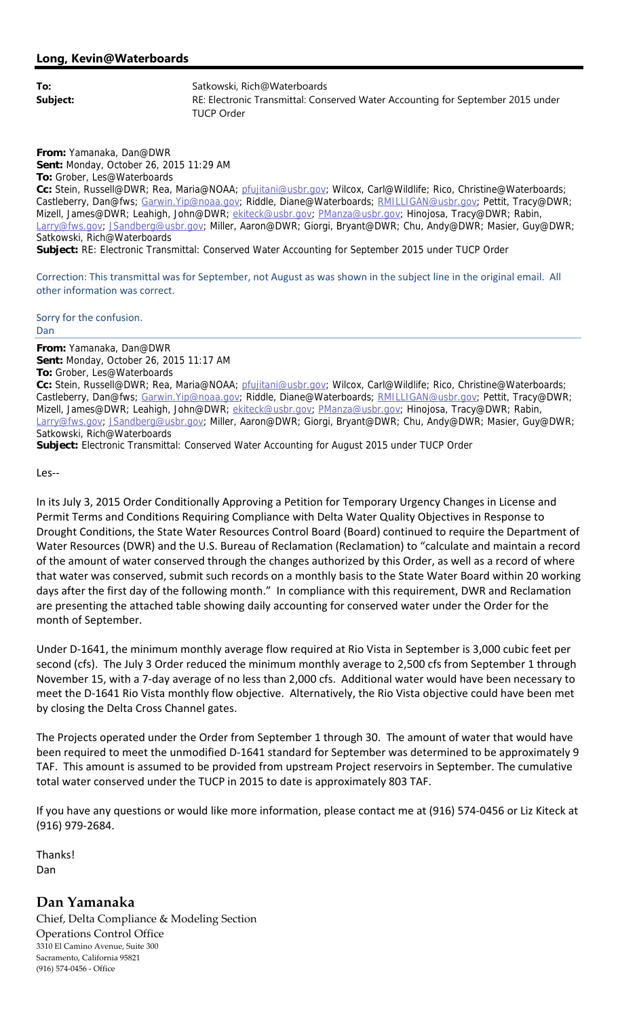**From:** Yamanaka, Dan@DWR **Sent:** Monday, October 26, 2015 11:29 AM **To:** Grober, Les@Waterboards **Cc:** Stein, Russell@DWR; Rea, Maria@NOAA; pfujitani@usbr.gov; Wilcox, Carl@Wildlife; Rico, Christine@Waterboards; Castleberry, Dan@fws; Garwin.Yip@noaa.gov; Riddle, Diane@Waterboards; RMILLIGAN@usbr.gov; Pettit, Tracy@DWR; Mizell, James@DWR; Leahigh, John@DWR; ekiteck@usbr.gov; PManza@usbr.gov; Hinojosa, Tracy@DWR; Rabin, Larry@fws.gov; JSandberg@usbr.gov; Miller, Aaron@DWR; Giorgi, Bryant@DWR; Chu, Andy@DWR; Masier, Guy@DWR; Satkowski, Rich@Waterboards **Subject:** RE: Electronic Transmittal: Conserved Water Accounting for September 2015 under TUCP Order

Correction: This transmittal was for September, not August as was shown in the subject line in the original email. All other information was correct.

Sorry for the confusion.

## Dan

**From:** Yamanaka, Dan@DWR **Sent:** Monday, October 26, 2015 11:17 AM **To:** Grober, Les@Waterboards **Cc:** Stein, Russell@DWR; Rea, Maria@NOAA; pfujitani@usbr.gov; Wilcox, Carl@Wildlife; Rico, Christine@Waterboards; Castleberry, Dan@fws; Garwin.Yip@noaa.gov; Riddle, Diane@Waterboards; RMILLIGAN@usbr.gov; Pettit, Tracy@DWR; Mizell, James@DWR; Leahigh, John@DWR; ekiteck@usbr.gov; PManza@usbr.gov; Hinojosa, Tracy@DWR; Rabin, Larry@fws.gov; JSandberg@usbr.gov; Miller, Aaron@DWR; Giorgi, Bryant@DWR; Chu, Andy@DWR; Masier, Guy@DWR; Satkowski, Rich@Waterboards

**Subject:** Electronic Transmittal: Conserved Water Accounting for August 2015 under TUCP Order

Les‐‐

In its July 3, 2015 Order Conditionally Approving a Petition for Temporary Urgency Changes in License and Permit Terms and Conditions Requiring Compliance with Delta Water Quality Objectives in Response to Drought Conditions, the State Water Resources Control Board (Board) continued to require the Department of Water Resources (DWR) and the U.S. Bureau of Reclamation (Reclamation) to "calculate and maintain a record of the amount of water conserved through the changes authorized by this Order, as well as a record of where that water was conserved, submit such records on a monthly basis to the State Water Board within 20 working days after the first day of the following month." In compliance with this requirement, DWR and Reclamation are presenting the attached table showing daily accounting for conserved water under the Order for the month of September.

Under D‐1641, the minimum monthly average flow required at Rio Vista in September is 3,000 cubic feet per second (cfs). The July 3 Order reduced the minimum monthly average to 2,500 cfs from September 1 through November 15, with a 7‐day average of no less than 2,000 cfs. Additional water would have been necessary to meet the D‐1641 Rio Vista monthly flow objective. Alternatively, the Rio Vista objective could have been met by closing the Delta Cross Channel gates.

The Projects operated under the Order from September 1 through 30. The amount of water that would have been required to meet the unmodified D‐1641 standard for September was determined to be approximately 9 TAF. This amount is assumed to be provided from upstream Project reservoirs in September. The cumulative total water conserved under the TUCP in 2015 to date is approximately 803 TAF.

If you have any questions or would like more information, please contact me at (916) 574‐0456 or Liz Kiteck at (916) 979‐2684.

Thanks! Dan

## **Dan Yamanaka**

Chief, Delta Compliance & Modeling Section Operations Control Office 3310 El Camino Avenue, Suite 300 Sacramento, California 95821 (916) 574‐0456 ‐ Office